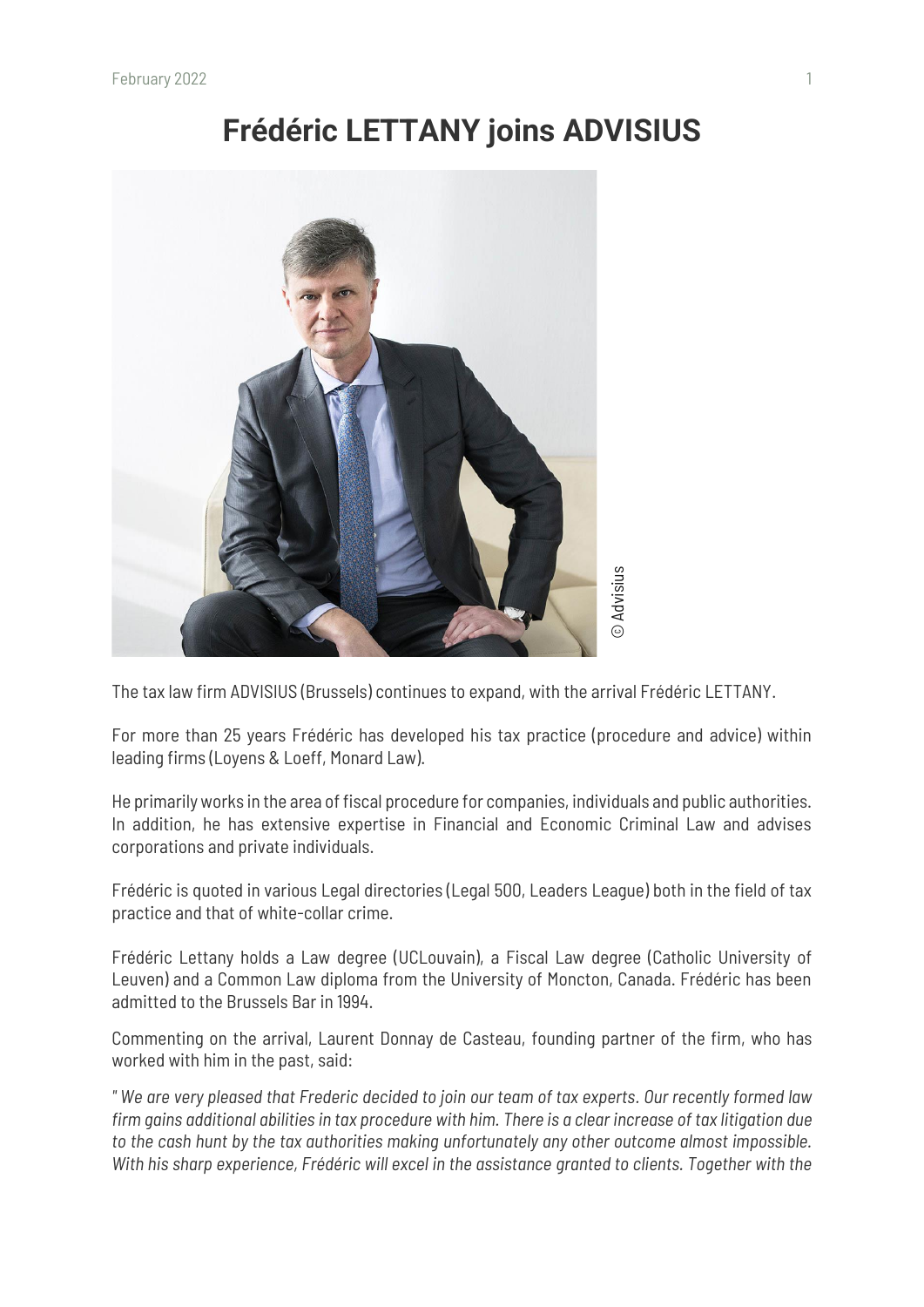## **Frédéric LETTANY joins ADVISIUS**



The tax law firm ADVISIUS (Brussels) continues to expand, with the arrival Frédéric LETTANY.

For more than 25 years Frédéric has developed his tax practice (procedure and advice) within leading firms (Loyens & Loeff, Monard Law).

He primarily works in the area of fiscal procedure for companies, individuals and public authorities. In addition, he has extensive expertise in Financial and Economic Criminal Law and advises corporations and private individuals.

Frédéric is quoted in various Legal directories (Legal 500, Leaders League) both in the field of tax practice and that of white-collar crime.

Frédéric Lettany holds a Law degree (UCLouvain), a Fiscal Law degree (Catholic University of Leuven) and a Common Law diploma from the University of Moncton, Canada. Frédéric has been admitted to the Brussels Bar in 1994.

Commenting on the arrival, Laurent Donnay de Casteau, founding partner of the firm, who has worked with him in the past, said:

*" We are very pleased that Frederic decided to join our team of tax experts. Our recently formed law firm gains additional abilities in tax procedure with him. There is a clear increase of tax litigation due to the cash hunt by the tax authorities making unfortunately any other outcome almost impossible.*  **The tax law firm ADVISIUS (Brussels) continues to expand, with the arrival Frédéric LETTANY.**<br>For more than 25 years Frédéric has developed his tax practice (procedure and advice) within leading firms (Loyens & Loeff, Mon